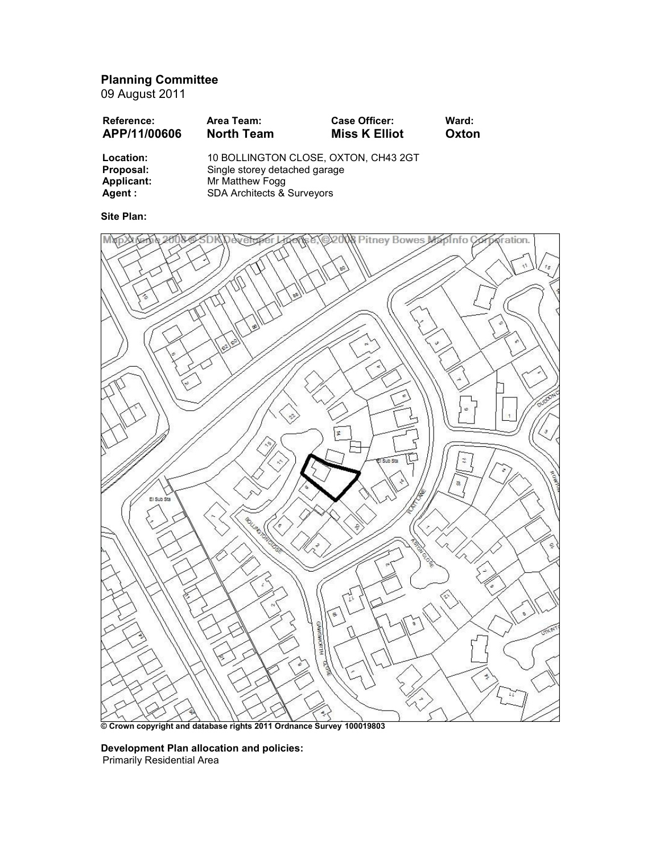# Planning Committee

09 August 2011

| <b>Reference:</b><br>APP/11/00606 | Area Team:<br><b>North Team</b>      | <b>Case Officer:</b><br><b>Miss K Elliot</b> | Ward:<br>Oxton |
|-----------------------------------|--------------------------------------|----------------------------------------------|----------------|
| Location:                         | 10 BOLLINGTON CLOSE, OXTON, CH43 2GT |                                              |                |
| Proposal:                         | Single storey detached garage        |                                              |                |
| Applicant:                        | Mr Matthew Fogg                      |                                              |                |
| Agent :                           | SDA Architects & Surveyors           |                                              |                |

# Site Plan:



© Crown copyright and database rights 2011 Ordnance Survey 100019803

# Development Plan allocation and policies: Primarily Residential Area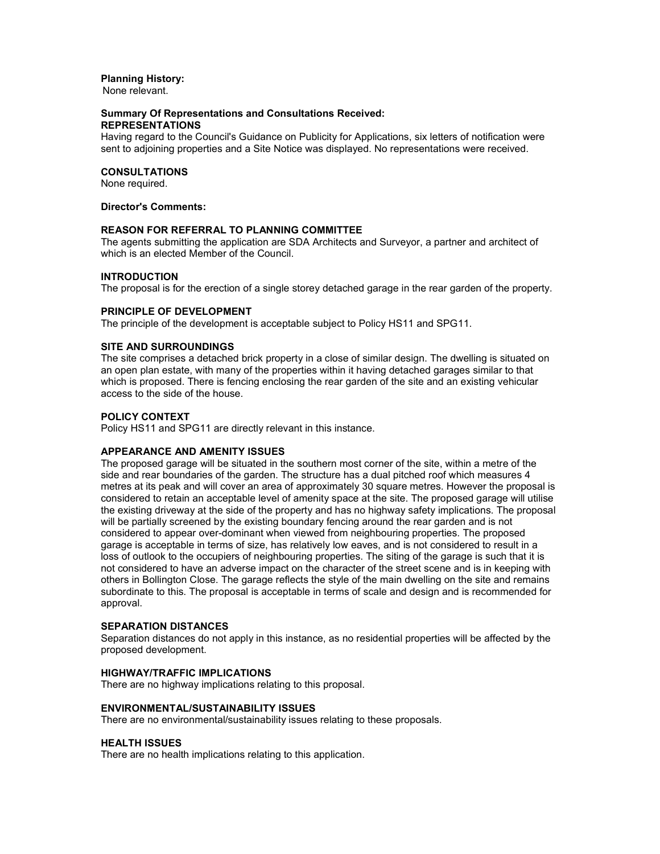## Planning History:

None relevant.

#### Summary Of Representations and Consultations Received: REPRESENTATIONS

Having regard to the Council's Guidance on Publicity for Applications, six letters of notification were sent to adjoining properties and a Site Notice was displayed. No representations were received.

# CONSULTATIONS

None required.

## Director's Comments:

## REASON FOR REFERRAL TO PLANNING COMMITTEE

The agents submitting the application are SDA Architects and Surveyor, a partner and architect of which is an elected Member of the Council.

## INTRODUCTION

The proposal is for the erection of a single storey detached garage in the rear garden of the property.

## PRINCIPLE OF DEVELOPMENT

The principle of the development is acceptable subject to Policy HS11 and SPG11.

## SITE AND SURROUNDINGS

The site comprises a detached brick property in a close of similar design. The dwelling is situated on an open plan estate, with many of the properties within it having detached garages similar to that which is proposed. There is fencing enclosing the rear garden of the site and an existing vehicular access to the side of the house.

## POLICY CONTEXT

Policy HS11 and SPG11 are directly relevant in this instance.

## APPEARANCE AND AMENITY ISSUES

The proposed garage will be situated in the southern most corner of the site, within a metre of the side and rear boundaries of the garden. The structure has a dual pitched roof which measures 4 metres at its peak and will cover an area of approximately 30 square metres. However the proposal is considered to retain an acceptable level of amenity space at the site. The proposed garage will utilise the existing driveway at the side of the property and has no highway safety implications. The proposal will be partially screened by the existing boundary fencing around the rear garden and is not considered to appear over-dominant when viewed from neighbouring properties. The proposed garage is acceptable in terms of size, has relatively low eaves, and is not considered to result in a loss of outlook to the occupiers of neighbouring properties. The siting of the garage is such that it is not considered to have an adverse impact on the character of the street scene and is in keeping with others in Bollington Close. The garage reflects the style of the main dwelling on the site and remains subordinate to this. The proposal is acceptable in terms of scale and design and is recommended for approval.

#### SEPARATION DISTANCES

Separation distances do not apply in this instance, as no residential properties will be affected by the proposed development.

## HIGHWAY/TRAFFIC IMPLICATIONS

There are no highway implications relating to this proposal.

#### ENVIRONMENTAL/SUSTAINABILITY ISSUES

There are no environmental/sustainability issues relating to these proposals.

#### HEALTH ISSUES

There are no health implications relating to this application.